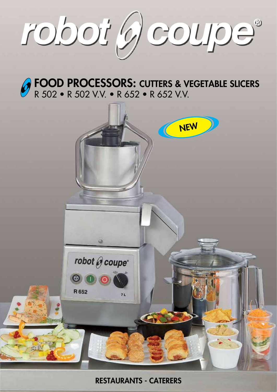

FOOD PROCESSORS: CUTTERS & VEGETABLE SLICERS R 502 • R 502 V.V. • R 652 • R 652 V.V.



RESTAURANTS - CATERERS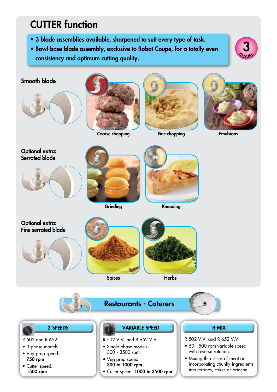## CUTTER function

- 3 blade assemblies available, sharpened to suit every type of task.
- Bowl-base blade assembly, exclusive to Robot-Coupe, for a totally even consistency and optimum cutting quality.









Coarse chopping Tine chopping Emulsions



Fine chopping



Optional extra: Serrated blade





**Grinding** 



Kneading









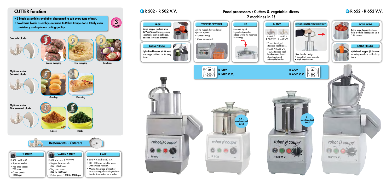## R 502 - R 502 V.V. R 652 - R 652 V.V. Food processors : Cutters & vegetable slicers 2 machines in 1!





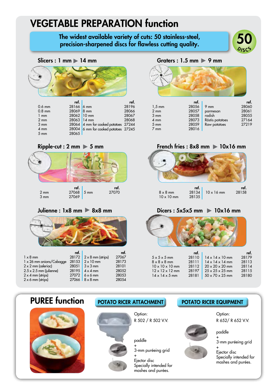## VEGETABLE PREPARATION function

# The widest available variety of cuts: 50 stainless-steel,<br>precision-sharpened discs for flawless cutting quality.



### Slicers : 1 mm 14 mm



|                | ref.        |                                      | ref.  |
|----------------|-------------|--------------------------------------|-------|
| $0.6$ mm       | 28166 6 mm  |                                      | 28196 |
| $0.8$ mm       | 28069 8 mm  |                                      | 28066 |
| $1 \text{ mm}$ | 28062 10 mm |                                      | 28067 |
| $2 \text{ mm}$ | 28063 14 mm |                                      | 28068 |
| $3 \text{ mm}$ |             | 28064 4 mm for cooked potatoes 27244 |       |
| $4 \text{ mm}$ |             | 28004 6 mm for cooked potatoes 27245 |       |
| $5 \text{ mm}$ | 28065       |                                      |       |
|                |             |                                      |       |

### $Ripple$ -cut : 2 mm  $\triangleright$  5 mm





|                                 | ref. |                                       | ref.  |
|---------------------------------|------|---------------------------------------|-------|
| $1 \times 8$ mm                 |      | 28172 $\sqrt{2 \times 8}$ mm (strips) | 27067 |
| $1 \times 26$ mm onions/Cabagge |      | $28153$ $2 \times 10$ mm              | 28173 |
| $2 \times 2$ mm (celeriac)      |      | $28051$ 3 x 3 mm                      | 28101 |
| $2.5 \times 2.5$ mm (julienne)  |      | $28195$ $4 \times 4$ mm               | 28052 |
| $2 \times 4$ mm (strips)        |      | $27072$ 6 x 6 mm                      | 28053 |
| $2 \times 6$ mm (strips)        |      | $27066$ 8 x 8 mm                      | 28054 |
|                                 |      |                                       |       |

### Graters :  $1.5$  mm  $\triangleright$  9 mm



|                | ref.  |                 | ref.  |
|----------------|-------|-----------------|-------|
| $1,5$ mm       | 28056 | $9 \text{ mm}$  | 28060 |
| $2 \text{ mm}$ | 28057 | parmesan        | 28061 |
| $3 \text{ mm}$ | 28058 | radish          | 28055 |
| $4 \text{ mm}$ | 28073 | Röstis potatoes | 27164 |
| $5 \text{ mm}$ | 28059 | Raw potatoes    | 27219 |
| $7 \text{ mm}$ | 28016 |                 |       |

### French fries :  $8x8$  mm  $\blacktriangleright$  10x16 mm



### $Julienne: 1x8 mm$   $\triangleright$  8x8 mm  $\triangleright$  8x8 mm Dicers : 5x5x5 mm  $\triangleright$  10x16 mm



|                             | ref.  |                             | ret.  |
|-----------------------------|-------|-----------------------------|-------|
| $5 \times 5 \times 5$ mm    | 28110 | $14 \times 14 \times 10$ mm | 28179 |
| $8 \times 8 \times 8$ mm    | 28111 | $14 \times 14 \times 14$ mm | 28113 |
| $10 \times 10 \times 10$ mm | 28112 | $20 \times 20 \times 20$ mm | 28114 |
| $12 \times 12 \times 12$ mm | 28197 | $25 \times 25 \times 25$ mm | 28115 |
| $14 \times 14 \times 5$ mm  | 28181 | $50 \times 70 \times 25$ mm | 28180 |
|                             |       |                             |       |



## PUREE function POTATO RICER ATTACHMENT POTATO RICER EQUIPMENT



Option: R 502 / R 502 V.V.

paddle

+ 3-mm puréeing grid

+ Ejector disc Specially intended for mashes and purées.

Option: R 652/ R 652 V.V.



+ 3-mm puréeing grid

+ Ejector disc Specially intended for mashes and purées.